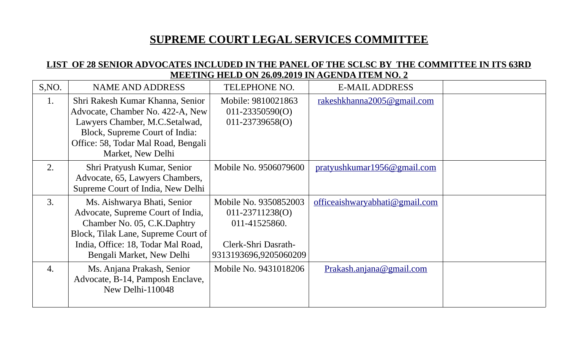## **SUPREME COURT LEGAL SERVICES COMMITTEE**

## **LIST OF 28 SENIOR ADVOCATES INCLUDED IN THE PANEL OF THE SCLSC BY THE COMMITTEE IN ITS 63RD MEETING HELD ON 26.09.2019 IN AGENDA ITEM NO. 2**

| S, NO. | <b>NAME AND ADDRESS</b>                                                                                                                                                                                   | <b>TELEPHONE NO.</b>                                                                                      | <b>E-MAIL ADDRESS</b>          |  |
|--------|-----------------------------------------------------------------------------------------------------------------------------------------------------------------------------------------------------------|-----------------------------------------------------------------------------------------------------------|--------------------------------|--|
| 1.     | Shri Rakesh Kumar Khanna, Senior<br>Advocate, Chamber No. 422-A, New<br>Lawyers Chamber, M.C.Setalwad,<br>Block, Supreme Court of India:<br>Office: 58, Todar Mal Road, Bengali<br>Market, New Delhi      | Mobile: 9810021863<br>$011 - 23350590(O)$<br>$011 - 23739658(O)$                                          | rakeshkhanna2005@gmail.com     |  |
| 2.     | Shri Pratyush Kumar, Senior<br>Advocate, 65, Lawyers Chambers,<br>Supreme Court of India, New Delhi                                                                                                       | Mobile No. 9506079600                                                                                     | pratyushkumar1956@gmail.com    |  |
| 3.     | Ms. Aishwarya Bhati, Senior<br>Advocate, Supreme Court of India,<br>Chamber No. 05, C.K.Daphtry<br>Block, Tilak Lane, Supreme Court of<br>India, Office: 18, Todar Mal Road,<br>Bengali Market, New Delhi | Mobile No. 9350852003<br>011-23711238(O)<br>011-41525860.<br>Clerk-Shri Dasrath-<br>9313193696,9205060209 | officeaishwaryabhati@gmail.com |  |
| 4.     | Ms. Anjana Prakash, Senior<br>Advocate, B-14, Pamposh Enclave,<br>New Delhi-110048                                                                                                                        | Mobile No. 9431018206                                                                                     | Prakash.anjana@gmail.com       |  |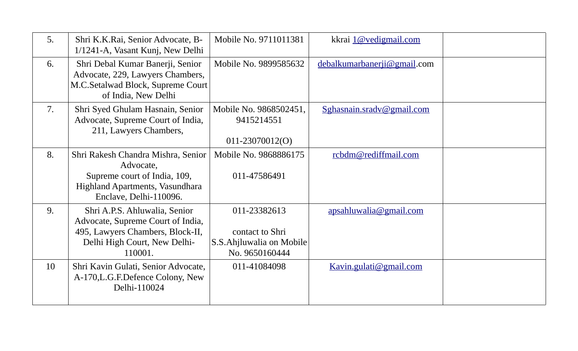| 5. | Shri K.K.Rai, Senior Advocate, B-<br>1/1241-A, Vasant Kunj, New Delhi                                                                             | Mobile No. 9711011381                                                         | kkrai 1@vedigmail.com       |  |
|----|---------------------------------------------------------------------------------------------------------------------------------------------------|-------------------------------------------------------------------------------|-----------------------------|--|
| 6. | Shri Debal Kumar Banerji, Senior<br>Advocate, 229, Lawyers Chambers,<br>M.C.Setalwad Block, Supreme Court<br>of India, New Delhi                  | Mobile No. 9899585632                                                         | debalkumarbanerji@gmail.com |  |
| 7. | Shri Syed Ghulam Hasnain, Senior<br>Advocate, Supreme Court of India,<br>211, Lawyers Chambers,                                                   | Mobile No. 9868502451,<br>9415214551<br>011-23070012(O)                       | Sghasnain.sradv@gmail.com   |  |
| 8. | Shri Rakesh Chandra Mishra, Senior<br>Advocate,<br>Supreme court of India, 109,<br>Highland Apartments, Vasundhara<br>Enclave, Delhi-110096.      | Mobile No. 9868886175<br>011-47586491                                         | rcbdm@rediffmail.com        |  |
| 9. | Shri A.P.S. Ahluwalia, Senior<br>Advocate, Supreme Court of India,<br>495, Lawyers Chambers, Block-II,<br>Delhi High Court, New Delhi-<br>110001. | 011-23382613<br>contact to Shri<br>S.S.Ahjluwalia on Mobile<br>No. 9650160444 | apsahluwalia@gmail.com      |  |
| 10 | Shri Kavin Gulati, Senior Advocate,<br>A-170, L.G.F. Defence Colony, New<br>Delhi-110024                                                          | 011-41084098                                                                  | Kavin.gulati@gmail.com      |  |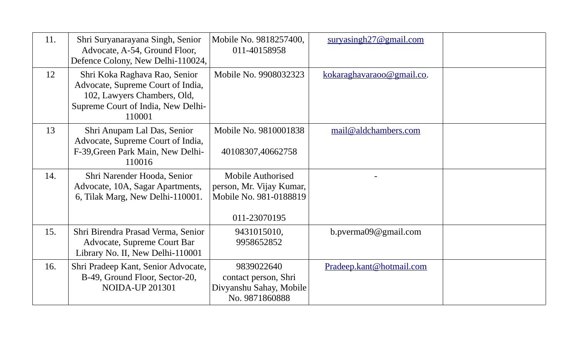| 11. | Shri Suryanarayana Singh, Senior<br>Advocate, A-54, Ground Floor,<br>Defence Colony, New Delhi-110024,                                            | Mobile No. 9818257400,<br>011-40158958                                                         | survasingh27@gmail.com    |  |
|-----|---------------------------------------------------------------------------------------------------------------------------------------------------|------------------------------------------------------------------------------------------------|---------------------------|--|
| 12  | Shri Koka Raghava Rao, Senior<br>Advocate, Supreme Court of India,<br>102, Lawyers Chambers, Old,<br>Supreme Court of India, New Delhi-<br>110001 | Mobile No. 9908032323                                                                          | kokaraghavaraoo@gmail.co. |  |
| 13  | Shri Anupam Lal Das, Senior<br>Advocate, Supreme Court of India,<br>F-39, Green Park Main, New Delhi-<br>110016                                   | Mobile No. 9810001838<br>40108307,40662758                                                     | mail@aldchambers.com      |  |
| 14. | Shri Narender Hooda, Senior<br>Advocate, 10A, Sagar Apartments,<br>6, Tilak Marg, New Delhi-110001.                                               | <b>Mobile Authorised</b><br>person, Mr. Vijay Kumar,<br>Mobile No. 981-0188819<br>011-23070195 |                           |  |
| 15. | Shri Birendra Prasad Verma, Senior<br>Advocate, Supreme Court Bar<br>Library No. II, New Delhi-110001                                             | 9431015010,<br>9958652852                                                                      | b.pverma09@gmail.com      |  |
| 16. | Shri Pradeep Kant, Senior Advocate,<br>B-49, Ground Floor, Sector-20,<br><b>NOIDA-UP 201301</b>                                                   | 9839022640<br>contact person, Shri<br>Divyanshu Sahay, Mobile<br>No. 9871860888                | Pradeep.kant@hotmail.com  |  |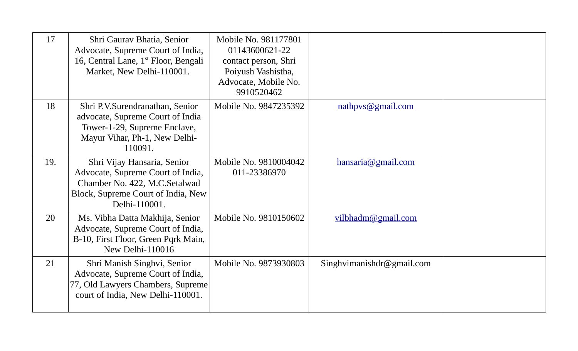| 17  | Shri Gaurav Bhatia, Senior<br>Advocate, Supreme Court of India,<br>16, Central Lane, $1st$ Floor, Bengali<br>Market, New Delhi-110001.                   | Mobile No. 981177801<br>01143600621-22<br>contact person, Shri<br>Poiyush Vashistha,<br>Advocate, Mobile No.<br>9910520462 |                           |  |
|-----|----------------------------------------------------------------------------------------------------------------------------------------------------------|----------------------------------------------------------------------------------------------------------------------------|---------------------------|--|
| 18  | Shri P.V.Surendranathan, Senior<br>advocate, Supreme Court of India<br>Tower-1-29, Supreme Enclave,<br>Mayur Vihar, Ph-1, New Delhi-<br>110091.          | Mobile No. 9847235392                                                                                                      | nathpys@gmail.com         |  |
| 19. | Shri Vijay Hansaria, Senior<br>Advocate, Supreme Court of India,<br>Chamber No. 422, M.C.Setalwad<br>Block, Supreme Court of India, New<br>Delhi-110001. | Mobile No. 9810004042<br>011-23386970                                                                                      | hansaria@gmail.com        |  |
| 20  | Ms. Vibha Datta Makhija, Senior<br>Advocate, Supreme Court of India,<br>B-10, First Floor, Green Pqrk Main,<br>New Delhi-110016                          | Mobile No. 9810150602                                                                                                      | vilbhadm@gmail.com        |  |
| 21  | Shri Manish Singhvi, Senior<br>Advocate, Supreme Court of India,<br>77, Old Lawyers Chambers, Supreme<br>court of India, New Delhi-110001.               | Mobile No. 9873930803                                                                                                      | Singhvimanishdr@gmail.com |  |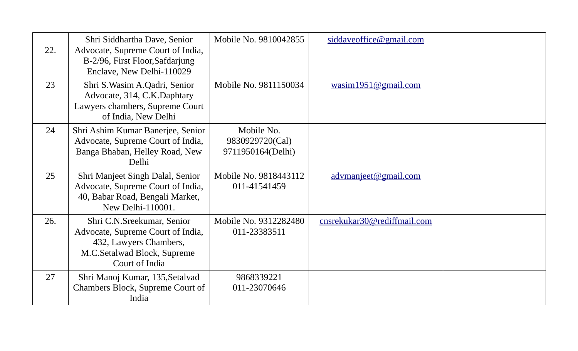| 22. | Shri Siddhartha Dave, Senior<br>Advocate, Supreme Court of India,<br>B-2/96, First Floor, Safdarjung<br>Enclave, New Delhi-110029          | Mobile No. 9810042855                              | siddaveoffice@gmail.com     |  |
|-----|--------------------------------------------------------------------------------------------------------------------------------------------|----------------------------------------------------|-----------------------------|--|
| 23  | Shri S. Wasim A. Qadri, Senior<br>Advocate, 314, C.K.Daphtary<br>Lawyers chambers, Supreme Court<br>of India, New Delhi                    | Mobile No. 9811150034                              | wasim1951@gmail.com         |  |
| 24  | Shri Ashim Kumar Banerjee, Senior<br>Advocate, Supreme Court of India,<br>Banga Bhaban, Helley Road, New<br>Delhi                          | Mobile No.<br>9830929720(Cal)<br>9711950164(Delhi) |                             |  |
| 25  | Shri Manjeet Singh Dalal, Senior<br>Advocate, Supreme Court of India,<br>40, Babar Road, Bengali Market,<br>New Delhi-110001.              | Mobile No. 9818443112<br>011-41541459              | advmanjeet@gmail.com        |  |
| 26. | Shri C.N.Sreekumar, Senior<br>Advocate, Supreme Court of India,<br>432, Lawyers Chambers,<br>M.C.Setalwad Block, Supreme<br>Court of India | Mobile No. 9312282480<br>011-23383511              | cnsrekukar30@rediffmail.com |  |
| 27  | Shri Manoj Kumar, 135, Setalvad<br>Chambers Block, Supreme Court of<br>India                                                               | 9868339221<br>011-23070646                         |                             |  |